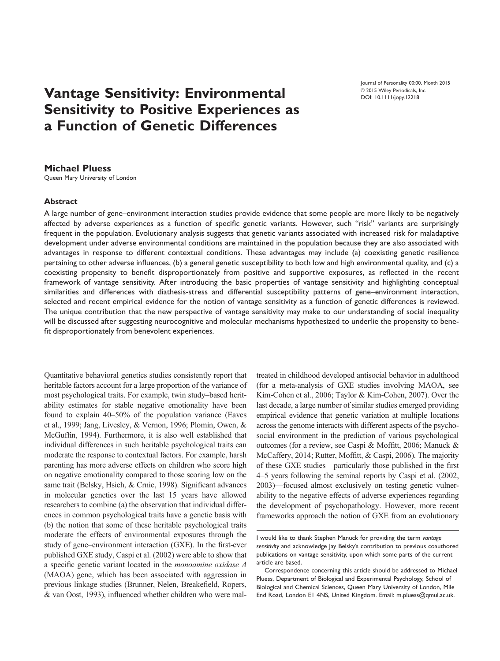Journal of Personality 00:00, Month 2015

# Vantage Sensitivity: Environmental **Vantage Sensitivity: Environmental Sensitivity to Positive Experiences as a Function of Genetic Differences**

#### **Michael Pluess**

Queen Mary University of London

#### **Abstract**

A large number of gene–environment interaction studies provide evidence that some people are more likely to be negatively affected by adverse experiences as a function of specific genetic variants. However, such "risk" variants are surprisingly frequent in the population. Evolutionary analysis suggests that genetic variants associated with increased risk for maladaptive development under adverse environmental conditions are maintained in the population because they are also associated with advantages in response to different contextual conditions. These advantages may include (a) coexisting genetic resilience pertaining to other adverse influences, (b) a general genetic susceptibility to both low and high environmental quality, and (c) a coexisting propensity to benefit disproportionately from positive and supportive exposures, as reflected in the recent framework of vantage sensitivity. After introducing the basic properties of vantage sensitivity and highlighting conceptual similarities and differences with diathesis-stress and differential susceptibility patterns of gene–environment interaction, selected and recent empirical evidence for the notion of vantage sensitivity as a function of genetic differences is reviewed. The unique contribution that the new perspective of vantage sensitivity may make to our understanding of social inequality will be discussed after suggesting neurocognitive and molecular mechanisms hypothesized to underlie the propensity to benefit disproportionately from benevolent experiences.

Quantitative behavioral genetics studies consistently report that heritable factors account for a large proportion of the variance of most psychological traits. For example, twin study–based heritability estimates for stable negative emotionality have been found to explain 40–50% of the population variance (Eaves et al., 1999; Jang, Livesley, & Vernon, 1996; Plomin, Owen, & McGuffin, 1994). Furthermore, it is also well established that individual differences in such heritable psychological traits can moderate the response to contextual factors. For example, harsh parenting has more adverse effects on children who score high on negative emotionality compared to those scoring low on the same trait (Belsky, Hsieh, & Crnic, 1998). Significant advances in molecular genetics over the last 15 years have allowed researchers to combine (a) the observation that individual differences in common psychological traits have a genetic basis with (b) the notion that some of these heritable psychological traits moderate the effects of environmental exposures through the study of gene–environment interaction (GXE). In the first-ever published GXE study, Caspi et al. (2002) were able to show that a specific genetic variant located in the monoamine oxidase A (MAOA) gene, which has been associated with aggression in previous linkage studies (Brunner, Nelen, Breakefield, Ropers, & van Oost, 1993), influenced whether children who were mal-

treated in childhood developed antisocial behavior in adulthood (for a meta-analysis of GXE studies involving MAOA, see Kim-Cohen et al., 2006; Taylor & Kim-Cohen, 2007). Over the last decade, a large number of similar studies emerged providing empirical evidence that genetic variation at multiple locations across the genome interacts with different aspects of the psychosocial environment in the prediction of various psychological outcomes (for a review, see Caspi & Moffitt, 2006; Manuck & McCaffery, 2014; Rutter, Moffitt, & Caspi, 2006). The majority of these GXE studies—particularly those published in the first 4–5 years following the seminal reports by Caspi et al. (2002, 2003)—focused almost exclusively on testing genetic vulnerability to the negative effects of adverse experiences regarding the development of psychopathology. However, more recent frameworks approach the notion of GXE from an evolutionary

I would like to thank Stephen Manuck for providing the term *vantage sensitivity* and acknowledge Jay Belsky's contribution to previous coauthored publications on vantage sensitivity, upon which some parts of the current article are based.

Correspondence concerning this article should be addressed to Michael Pluess, Department of Biological and Experimental Psychology, School of Biological and Chemical Sciences, Queen Mary University of London, Mile End Road, London E1 4NS, United Kingdom. Email: m.pluess@qmul.ac.uk.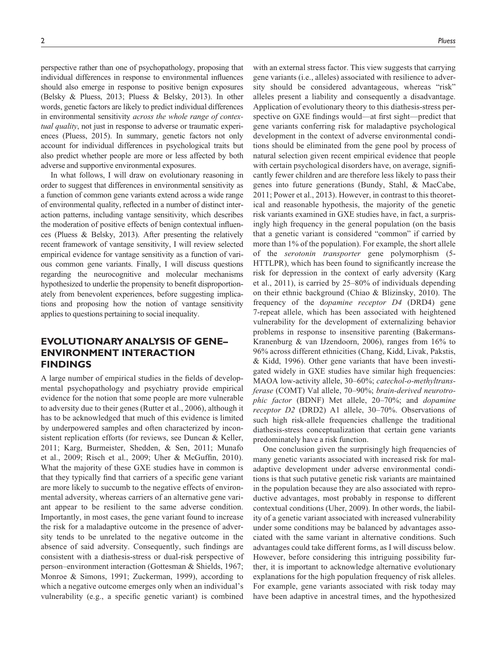perspective rather than one of psychopathology, proposing that individual differences in response to environmental influences should also emerge in response to positive benign exposures (Belsky & Pluess, 2013; Pluess & Belsky, 2013). In other words, genetic factors are likely to predict individual differences in environmental sensitivity across the whole range of contextual quality, not just in response to adverse or traumatic experiences (Pluess, 2015). In summary, genetic factors not only account for individual differences in psychological traits but also predict whether people are more or less affected by both adverse and supportive environmental exposures.

In what follows, I will draw on evolutionary reasoning in order to suggest that differences in environmental sensitivity as a function of common gene variants extend across a wide range of environmental quality, reflected in a number of distinct interaction patterns, including vantage sensitivity, which describes the moderation of positive effects of benign contextual influences (Pluess & Belsky, 2013). After presenting the relatively recent framework of vantage sensitivity, I will review selected empirical evidence for vantage sensitivity as a function of various common gene variants. Finally, I will discuss questions regarding the neurocognitive and molecular mechanisms hypothesized to underlie the propensity to benefit disproportionately from benevolent experiences, before suggesting implications and proposing how the notion of vantage sensitivity applies to questions pertaining to social inequality.

# **EVOLUTIONARY ANALYSIS OF GENE– ENVIRONMENT INTERACTION FINDINGS**

A large number of empirical studies in the fields of developmental psychopathology and psychiatry provide empirical evidence for the notion that some people are more vulnerable to adversity due to their genes (Rutter et al., 2006), although it has to be acknowledged that much of this evidence is limited by underpowered samples and often characterized by inconsistent replication efforts (for reviews, see Duncan & Keller, 2011; Karg, Burmeister, Shedden, & Sen, 2011; Munafo et al., 2009; Risch et al., 2009; Uher & McGuffin, 2010). What the majority of these GXE studies have in common is that they typically find that carriers of a specific gene variant are more likely to succumb to the negative effects of environmental adversity, whereas carriers of an alternative gene variant appear to be resilient to the same adverse condition. Importantly, in most cases, the gene variant found to increase the risk for a maladaptive outcome in the presence of adversity tends to be unrelated to the negative outcome in the absence of said adversity. Consequently, such findings are consistent with a diathesis-stress or dual-risk perspective of person–environment interaction (Gottesman & Shields, 1967; Monroe & Simons, 1991; Zuckerman, 1999), according to which a negative outcome emerges only when an individual's vulnerability (e.g., a specific genetic variant) is combined

with an external stress factor. This view suggests that carrying gene variants (i.e., alleles) associated with resilience to adversity should be considered advantageous, whereas "risk" alleles present a liability and consequently a disadvantage. Application of evolutionary theory to this diathesis-stress perspective on GXE findings would—at first sight—predict that gene variants conferring risk for maladaptive psychological development in the context of adverse environmental conditions should be eliminated from the gene pool by process of natural selection given recent empirical evidence that people with certain psychological disorders have, on average, significantly fewer children and are therefore less likely to pass their genes into future generations (Bundy, Stahl, & MacCabe, 2011; Power et al., 2013). However, in contrast to this theoretical and reasonable hypothesis, the majority of the genetic risk variants examined in GXE studies have, in fact, a surprisingly high frequency in the general population (on the basis that a genetic variant is considered "common" if carried by more than 1% of the population). For example, the short allele of the serotonin transporter gene polymorphism (5- HTTLPR), which has been found to significantly increase the risk for depression in the context of early adversity (Karg et al., 2011), is carried by 25–80% of individuals depending on their ethnic background (Chiao & Blizinsky, 2010). The frequency of the dopamine receptor D4 (DRD4) gene 7-repeat allele, which has been associated with heightened vulnerability for the development of externalizing behavior problems in response to insensitive parenting (Bakermans-Kranenburg & van IJzendoorn, 2006), ranges from 16% to 96% across different ethnicities (Chang, Kidd, Livak, Pakstis, & Kidd, 1996). Other gene variants that have been investigated widely in GXE studies have similar high frequencies: MAOA low-activity allele, 30–60%; catechol-o-methyltransferase (COMT) Val allele, 70–90%; brain-derived neurotrophic factor (BDNF) Met allele, 20–70%; and dopamine receptor D2 (DRD2) A1 allele, 30–70%. Observations of such high risk-allele frequencies challenge the traditional diathesis-stress conceptualization that certain gene variants predominately have a risk function.

One conclusion given the surprisingly high frequencies of many genetic variants associated with increased risk for maladaptive development under adverse environmental conditions is that such putative genetic risk variants are maintained in the population because they are also associated with reproductive advantages, most probably in response to different contextual conditions (Uher, 2009). In other words, the liability of a genetic variant associated with increased vulnerability under some conditions may be balanced by advantages associated with the same variant in alternative conditions. Such advantages could take different forms, as I will discuss below. However, before considering this intriguing possibility further, it is important to acknowledge alternative evolutionary explanations for the high population frequency of risk alleles. For example, gene variants associated with risk today may have been adaptive in ancestral times, and the hypothesized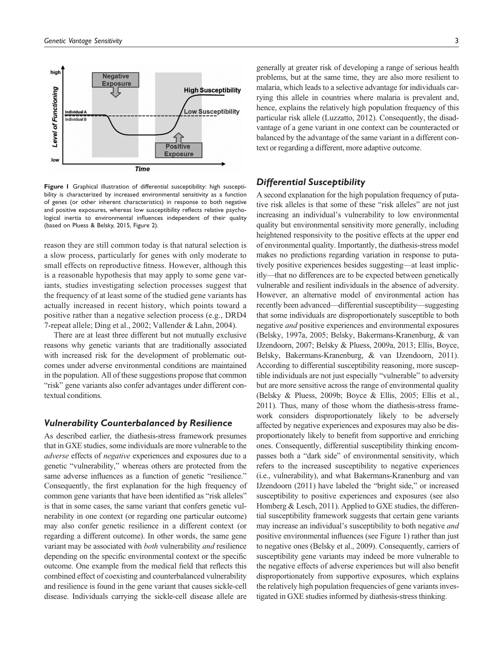

**Figure 1** Graphical illustration of differential susceptibility: high susceptibility is characterized by increased environmental sensitivity as a function of genes (or other inherent characteristics) in response to both negative and positive exposures, whereas low susceptibility reflects relative psychological inertia to environmental influences independent of their quality (based on Pluess & Belsky, 2015, Figure 2).

reason they are still common today is that natural selection is a slow process, particularly for genes with only moderate to small effects on reproductive fitness. However, although this is a reasonable hypothesis that may apply to some gene variants, studies investigating selection processes suggest that the frequency of at least some of the studied gene variants has actually increased in recent history, which points toward a positive rather than a negative selection process (e.g., DRD4 7-repeat allele; Ding et al., 2002; Vallender & Lahn, 2004).

There are at least three different but not mutually exclusive reasons why genetic variants that are traditionally associated with increased risk for the development of problematic outcomes under adverse environmental conditions are maintained in the population. All of these suggestions propose that common "risk" gene variants also confer advantages under different contextual conditions.

#### Vulnerability Counterbalanced by Resilience

As described earlier, the diathesis-stress framework presumes that in GXE studies, some individuals are more vulnerable to the adverse effects of negative experiences and exposures due to a genetic "vulnerability," whereas others are protected from the same adverse influences as a function of genetic "resilience." Consequently, the first explanation for the high frequency of common gene variants that have been identified as "risk alleles" is that in some cases, the same variant that confers genetic vulnerability in one context (or regarding one particular outcome) may also confer genetic resilience in a different context (or regarding a different outcome). In other words, the same gene variant may be associated with both vulnerability and resilience depending on the specific environmental context or the specific outcome. One example from the medical field that reflects this combined effect of coexisting and counterbalanced vulnerability and resilience is found in the gene variant that causes sickle-cell disease. Individuals carrying the sickle-cell disease allele are

generally at greater risk of developing a range of serious health problems, but at the same time, they are also more resilient to malaria, which leads to a selective advantage for individuals carrying this allele in countries where malaria is prevalent and, hence, explains the relatively high population frequency of this particular risk allele (Luzzatto, 2012). Consequently, the disadvantage of a gene variant in one context can be counteracted or balanced by the advantage of the same variant in a different context or regarding a different, more adaptive outcome.

## Differential Susceptibility

A second explanation for the high population frequency of putative risk alleles is that some of these "risk alleles" are not just increasing an individual's vulnerability to low environmental quality but environmental sensitivity more generally, including heightened responsivity to the positive effects at the upper end of environmental quality. Importantly, the diathesis-stress model makes no predictions regarding variation in response to putatively positive experiences besides suggesting––at least implicitly––that no differences are to be expected between genetically vulnerable and resilient individuals in the absence of adversity. However, an alternative model of environmental action has recently been advanced––differential susceptibility––suggesting that some individuals are disproportionately susceptible to both negative *and* positive experiences and environmental exposures (Belsky, 1997a, 2005; Belsky, Bakermans-Kranenburg, & van IJzendoorn, 2007; Belsky & Pluess, 2009a, 2013; Ellis, Boyce, Belsky, Bakermans-Kranenburg, & van IJzendoorn, 2011). According to differential susceptibility reasoning, more susceptible individuals are not just especially "vulnerable" to adversity but are more sensitive across the range of environmental quality (Belsky & Pluess, 2009b; Boyce & Ellis, 2005; Ellis et al., 2011). Thus, many of those whom the diathesis-stress framework considers disproportionately likely to be adversely affected by negative experiences and exposures may also be disproportionately likely to benefit from supportive and enriching ones. Consequently, differential susceptibility thinking encompasses both a "dark side" of environmental sensitivity, which refers to the increased susceptibility to negative experiences (i.e., vulnerability), and what Bakermans-Kranenburg and van IJzendoorn (2011) have labeled the "bright side," or increased susceptibility to positive experiences and exposures (see also Homberg & Lesch, 2011). Applied to GXE studies, the differential susceptibility framework suggests that certain gene variants may increase an individual's susceptibility to both negative *and* positive environmental influences (see Figure 1) rather than just to negative ones (Belsky et al., 2009). Consequently, carriers of susceptibility gene variants may indeed be more vulnerable to the negative effects of adverse experiences but will also benefit disproportionately from supportive exposures, which explains the relatively high population frequencies of gene variants investigated in GXE studies informed by diathesis-stress thinking.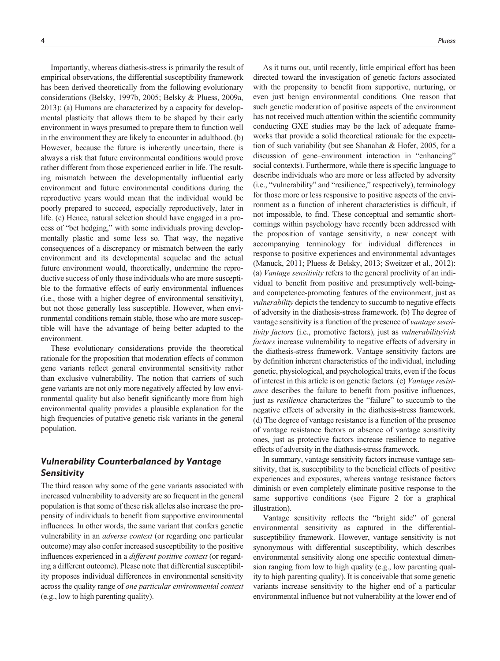Importantly, whereas diathesis-stress is primarily the result of empirical observations, the differential susceptibility framework has been derived theoretically from the following evolutionary considerations (Belsky, 1997b, 2005; Belsky & Pluess, 2009a, 2013): (a) Humans are characterized by a capacity for developmental plasticity that allows them to be shaped by their early environment in ways presumed to prepare them to function well in the environment they are likely to encounter in adulthood. (b) However, because the future is inherently uncertain, there is always a risk that future environmental conditions would prove rather different from those experienced earlier in life. The resulting mismatch between the developmentally influential early environment and future environmental conditions during the reproductive years would mean that the individual would be poorly prepared to succeed, especially reproductively, later in life. (c) Hence, natural selection should have engaged in a process of "bet hedging," with some individuals proving developmentally plastic and some less so. That way, the negative consequences of a discrepancy or mismatch between the early environment and its developmental sequelae and the actual future environment would, theoretically, undermine the reproductive success of only those individuals who are more susceptible to the formative effects of early environmental influences (i.e., those with a higher degree of environmental sensitivity), but not those generally less susceptible. However, when environmental conditions remain stable, those who are more susceptible will have the advantage of being better adapted to the environment.

These evolutionary considerations provide the theoretical rationale for the proposition that moderation effects of common gene variants reflect general environmental sensitivity rather than exclusive vulnerability. The notion that carriers of such gene variants are not only more negatively affected by low environmental quality but also benefit significantly more from high environmental quality provides a plausible explanation for the high frequencies of putative genetic risk variants in the general population.

## Vulnerability Counterbalanced by Vantage Sensitivity

The third reason why some of the gene variants associated with increased vulnerability to adversity are so frequent in the general population is that some of these risk alleles also increase the propensity of individuals to benefit from supportive environmental influences. In other words, the same variant that confers genetic vulnerability in an adverse context (or regarding one particular outcome) may also confer increased susceptibility to the positive influences experienced in a different positive context (or regarding a different outcome). Please note that differential susceptibility proposes individual differences in environmental sensitivity across the quality range of one particular environmental context (e.g., low to high parenting quality).

As it turns out, until recently, little empirical effort has been directed toward the investigation of genetic factors associated with the propensity to benefit from supportive, nurturing, or even just benign environmental conditions. One reason that such genetic moderation of positive aspects of the environment has not received much attention within the scientific community conducting GXE studies may be the lack of adequate frameworks that provide a solid theoretical rationale for the expectation of such variability (but see Shanahan & Hofer, 2005, for a discussion of gene–environment interaction in "enhancing" social contexts). Furthermore, while there is specific language to describe individuals who are more or less affected by adversity (i.e., "vulnerability" and "resilience," respectively), terminology for those more or less responsive to positive aspects of the environment as a function of inherent characteristics is difficult, if not impossible, to find. These conceptual and semantic shortcomings within psychology have recently been addressed with the proposition of vantage sensitivity, a new concept with accompanying terminology for individual differences in response to positive experiences and environmental advantages (Manuck, 2011; Pluess & Belsky, 2013; Sweitzer et al., 2012): (a) Vantage sensitivity refers to the general proclivity of an individual to benefit from positive and presumptively well-beingand competence-promoting features of the environment, just as vulnerability depicts the tendency to succumb to negative effects of adversity in the diathesis-stress framework. (b) The degree of vantage sensitivity is a function of the presence of vantage sensitivity factors (i.e., promotive factors), just as vulnerability/risk factors increase vulnerability to negative effects of adversity in the diathesis-stress framework. Vantage sensitivity factors are by definition inherent characteristics of the individual, including genetic, physiological, and psychological traits, even if the focus of interest in this article is on genetic factors. (c) Vantage resistance describes the failure to benefit from positive influences, just as resilience characterizes the "failure" to succumb to the negative effects of adversity in the diathesis-stress framework. (d) The degree of vantage resistance is a function of the presence of vantage resistance factors or absence of vantage sensitivity ones, just as protective factors increase resilience to negative effects of adversity in the diathesis-stress framework.

In summary, vantage sensitivity factors increase vantage sensitivity, that is, susceptibility to the beneficial effects of positive experiences and exposures, whereas vantage resistance factors diminish or even completely eliminate positive response to the same supportive conditions (see Figure 2 for a graphical illustration).

Vantage sensitivity reflects the "bright side" of general environmental sensitivity as captured in the differentialsusceptibility framework. However, vantage sensitivity is not synonymous with differential susceptibility, which describes environmental sensitivity along one specific contextual dimension ranging from low to high quality (e.g., low parenting quality to high parenting quality). It is conceivable that some genetic variants increase sensitivity to the higher end of a particular environmental influence but not vulnerability at the lower end of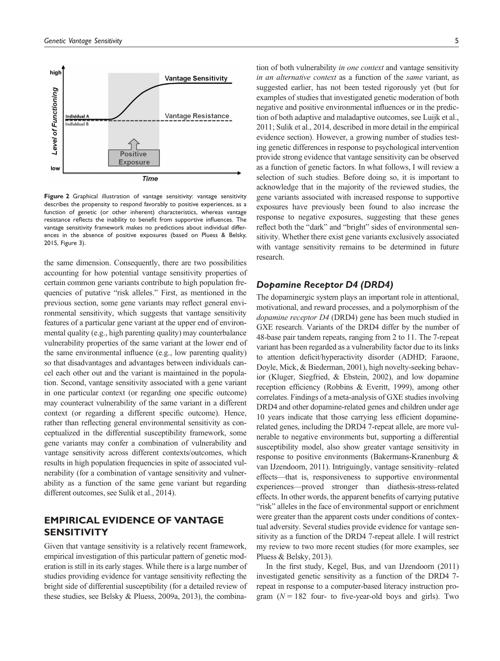

**Figure 2** Graphical illustration of vantage sensitivity: vantage sensitivity describes the propensity to respond favorably to positive experiences, as a function of genetic (or other inherent) characteristics, whereas vantage resistance reflects the inability to benefit from supportive influences. The vantage sensitivity framework makes no predictions about individual differences in the absence of positive exposures (based on Pluess & Belsky, 2015, Figure 3).

the same dimension. Consequently, there are two possibilities accounting for how potential vantage sensitivity properties of certain common gene variants contribute to high population frequencies of putative "risk alleles." First, as mentioned in the previous section, some gene variants may reflect general environmental sensitivity, which suggests that vantage sensitivity features of a particular gene variant at the upper end of environmental quality (e.g., high parenting quality) may counterbalance vulnerability properties of the same variant at the lower end of the same environmental influence (e.g., low parenting quality) so that disadvantages and advantages between individuals cancel each other out and the variant is maintained in the population. Second, vantage sensitivity associated with a gene variant in one particular context (or regarding one specific outcome) may counteract vulnerability of the same variant in a different context (or regarding a different specific outcome). Hence, rather than reflecting general environmental sensitivity as conceptualized in the differential susceptibility framework, some gene variants may confer a combination of vulnerability and vantage sensitivity across different contexts/outcomes, which results in high population frequencies in spite of associated vulnerability (for a combination of vantage sensitivity and vulnerability as a function of the same gene variant but regarding different outcomes, see Sulik et al., 2014).

# **EMPIRICAL EVIDENCE OF VANTAGE SENSITIVITY**

Given that vantage sensitivity is a relatively recent framework, empirical investigation of this particular pattern of genetic moderation is still in its early stages. While there is a large number of studies providing evidence for vantage sensitivity reflecting the bright side of differential susceptibility (for a detailed review of these studies, see Belsky & Pluess, 2009a, 2013), the combination of both vulnerability *in one context* and vantage sensitivity in an alternative context as a function of the same variant, as suggested earlier, has not been tested rigorously yet (but for examples of studies that investigated genetic moderation of both negative and positive environmental influences or in the prediction of both adaptive and maladaptive outcomes, see Luijk et al., 2011; Sulik et al., 2014, described in more detail in the empirical evidence section). However, a growing number of studies testing genetic differences in response to psychological intervention provide strong evidence that vantage sensitivity can be observed as a function of genetic factors. In what follows, I will review a selection of such studies. Before doing so, it is important to acknowledge that in the majority of the reviewed studies, the gene variants associated with increased response to supportive exposures have previously been found to also increase the response to negative exposures, suggesting that these genes reflect both the "dark" and "bright" sides of environmental sensitivity. Whether there exist gene variants exclusively associated with vantage sensitivity remains to be determined in future research.

## Dopamine Receptor D4 (DRD4)

The dopaminergic system plays an important role in attentional, motivational, and reward processes, and a polymorphism of the dopamine receptor D4 (DRD4) gene has been much studied in GXE research. Variants of the DRD4 differ by the number of 48-base pair tandem repeats, ranging from 2 to 11. The 7-repeat variant has been regarded as a vulnerability factor due to its links to attention deficit/hyperactivity disorder (ADHD; Faraone, Doyle, Mick, & Biederman, 2001), high novelty-seeking behavior (Kluger, Siegfried, & Ebstein, 2002), and low dopamine reception efficiency (Robbins & Everitt, 1999), among other correlates. Findings of a meta-analysis of GXE studies involving DRD4 and other dopamine-related genes and children under age 10 years indicate that those carrying less efficient dopaminerelated genes, including the DRD4 7-repeat allele, are more vulnerable to negative environments but, supporting a differential susceptibility model, also show greater vantage sensitivity in response to positive environments (Bakermans-Kranenburg & van IJzendoorn, 2011). Intriguingly, vantage sensitivity–related effects—that is, responsiveness to supportive environmental experiences—proved stronger than diathesis-stress-related effects. In other words, the apparent benefits of carrying putative "risk" alleles in the face of environmental support or enrichment were greater than the apparent costs under conditions of contextual adversity. Several studies provide evidence for vantage sensitivity as a function of the DRD4 7-repeat allele. I will restrict my review to two more recent studies (for more examples, see Pluess & Belsky, 2013).

In the first study, Kegel, Bus, and van IJzendoorn (2011) investigated genetic sensitivity as a function of the DRD4 7 repeat in response to a computer-based literacy instruction program  $(N = 182$  four- to five-year-old boys and girls). Two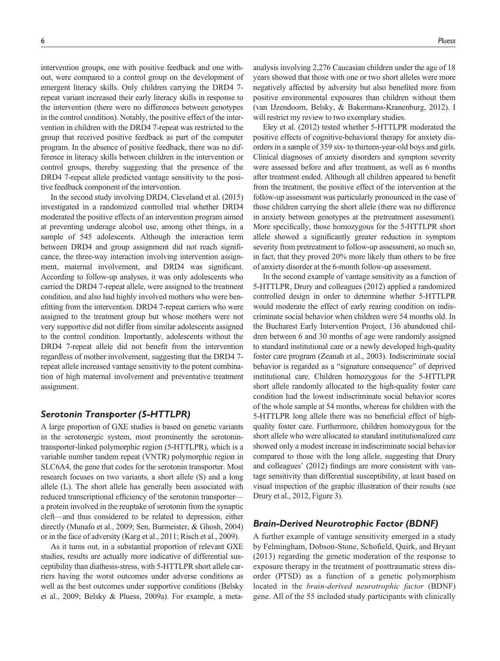intervention groups, one with positive feedback and one without, were compared to a control group on the development of emergent literacy skills. Only children carrying the DRD4 7 repeat variant increased their early literacy skills in response to the intervention (there were no differences between genotypes in the control condition). Notably, the positive effect of the intervention in children with the DRD4 7-repeat was restricted to the group that received positive feedback as part of the computer program. In the absence of positive feedback, there was no difference in literacy skills between children in the intervention or control groups, thereby suggesting that the presence of the DRD4 7-repeat allele predicted vantage sensitivity to the positive feedback component of the intervention.

In the second study involving DRD4, Cleveland et al. (2015) investigated in a randomized controlled trial whether DRD4 moderated the positive effects of an intervention program aimed at preventing underage alcohol use, among other things, in a sample of 545 adolescents. Although the interaction term between DRD4 and group assignment did not reach significance, the three-way interaction involving intervention assignment, maternal involvement, and DRD4 was significant. According to follow-up analyses, it was only adolescents who carried the DRD4 7-repeat allele, were assigned to the treatment condition, and also had highly involved mothers who were benefitting from the intervention. DRD4 7-repeat carriers who were assigned to the treatment group but whose mothers were not very supportive did not differ from similar adolescents assigned to the control condition. Importantly, adolescents without the DRD4 7-repeat allele did not benefit from the intervention regardless of mother involvement, suggesting that the DRD4 7 repeat allele increased vantage sensitivity to the potent combination of high maternal involvement and preventative treatment assignment.

#### Serotonin Transporter (5-HTTLPR)

A large proportion of GXE studies is based on genetic variants in the serotonergic system, most prominently the serotonintransporter-linked polymorphic region (5-HTTLPR), which is a variable number tandem repeat (VNTR) polymorphic region in SLC6A4, the gene that codes for the serotonin transporter. Most research focuses on two variants, a short allele (S) and a long allele (L). The short allele has generally been associated with reduced transcriptional efficiency of the serotonin transporter–– a protein involved in the reuptake of serotonin from the synaptic cleft—and thus considered to be related to depression, either directly (Munafo et al., 2009; Sen, Burmeister, & Ghosh, 2004) or in the face of adversity (Karg et al., 2011; Risch et al., 2009).

As it turns out, in a substantial proportion of relevant GXE studies, results are actually more indicative of differential susceptibility than diathesis-stress, with 5-HTTLPR short allele carriers having the worst outcomes under adverse conditions as well as the best outcomes under supportive conditions (Belsky et al., 2009; Belsky & Pluess, 2009a). For example, a metaanalysis involving 2,276 Caucasian children under the age of 18 years showed that those with one or two short alleles were more negatively affected by adversity but also benefited more from positive environmental exposures than children without them (van IJzendoorn, Belsky, & Bakermans-Kranenburg, 2012). I

will restrict my review to two exemplary studies. Eley et al. (2012) tested whether 5-HTTLPR moderated the positive effects of cognitive-behavioral therapy for anxiety disorders in a sample of 359 six- to thirteen-year-old boys and girls. Clinical diagnoses of anxiety disorders and symptom severity were assessed before and after treatment, as well as 6 months after treatment ended. Although all children appeared to benefit from the treatment, the positive effect of the intervention at the follow-up assessment was particularly pronounced in the case of those children carrying the short allele (there was no difference in anxiety between genotypes at the pretreatment assessment). More specifically, those homozygous for the 5-HTTLPR short allele showed a significantly greater reduction in symptom severity from pretreatment to follow-up assessment, so much so, in fact, that they proved 20% more likely than others to be free of anxiety disorder at the 6-month follow-up assessment.

In the second example of vantage sensitivity as a function of 5-HTTLPR, Drury and colleagues (2012) applied a randomized controlled design in order to determine whether 5-HTTLPR would moderate the effect of early rearing condition on indiscriminate social behavior when children were 54 months old. In the Bucharest Early Intervention Project, 136 abandoned children between 6 and 30 months of age were randomly assigned to standard institutional care or a newly developed high-quality foster care program (Zeanah et al., 2003). Indiscriminate social behavior is regarded as a "signature consequence" of deprived institutional care. Children homozygous for the 5-HTTLPR short allele randomly allocated to the high-quality foster care condition had the lowest indiscriminate social behavior scores of the whole sample at 54 months, whereas for children with the 5-HTTLPR long allele there was no beneficial effect of highquality foster care. Furthermore, children homozygous for the short allele who were allocated to standard institutionalized care showed only a modest increase in indiscriminate social behavior compared to those with the long allele, suggesting that Drury and colleagues' (2012) findings are more consistent with vantage sensitivity than differential susceptibility, at least based on visual inspection of the graphic illustration of their results (see Drury et al., 2012, Figure 3).

#### Brain-Derived Neurotrophic Factor (BDNF)

A further example of vantage sensitivity emerged in a study by Felmingham, Dobson-Stone, Schofield, Quirk, and Bryant (2013) regarding the genetic moderation of the response to exposure therapy in the treatment of posttraumatic stress disorder (PTSD) as a function of a genetic polymorphism located in the brain-derived neurotrophic factor (BDNF) gene. All of the 55 included study participants with clinically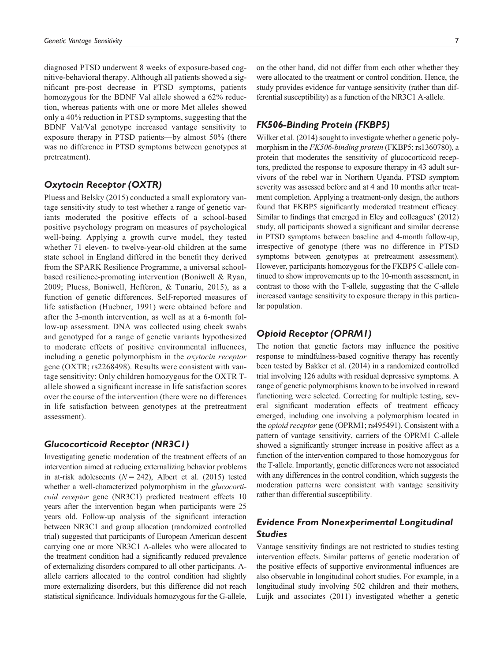diagnosed PTSD underwent 8 weeks of exposure-based cognitive-behavioral therapy. Although all patients showed a significant pre-post decrease in PTSD symptoms, patients homozygous for the BDNF Val allele showed a 62% reduction, whereas patients with one or more Met alleles showed only a 40% reduction in PTSD symptoms, suggesting that the BDNF Val/Val genotype increased vantage sensitivity to exposure therapy in PTSD patients—by almost 50% (there was no difference in PTSD symptoms between genotypes at pretreatment).

## Oxytocin Receptor (OXTR)

Pluess and Belsky (2015) conducted a small exploratory vantage sensitivity study to test whether a range of genetic variants moderated the positive effects of a school-based positive psychology program on measures of psychological well-being. Applying a growth curve model, they tested whether 71 eleven- to twelve-year-old children at the same state school in England differed in the benefit they derived from the SPARK Resilience Programme, a universal schoolbased resilience-promoting intervention (Boniwell & Ryan, 2009; Pluess, Boniwell, Hefferon, & Tunariu, 2015), as a function of genetic differences. Self-reported measures of life satisfaction (Huebner, 1991) were obtained before and after the 3-month intervention, as well as at a 6-month follow-up assessment. DNA was collected using cheek swabs and genotyped for a range of genetic variants hypothesized to moderate effects of positive environmental influences, including a genetic polymorphism in the oxytocin receptor gene (OXTR; rs2268498). Results were consistent with vantage sensitivity: Only children homozygous for the OXTR Tallele showed a significant increase in life satisfaction scores over the course of the intervention (there were no differences in life satisfaction between genotypes at the pretreatment assessment).

## Glucocorticoid Receptor (NR3C1)

Investigating genetic moderation of the treatment effects of an intervention aimed at reducing externalizing behavior problems in at-risk adolescents  $(N = 242)$ , Albert et al. (2015) tested whether a well-characterized polymorphism in the *glucocorti*coid receptor gene (NR3C1) predicted treatment effects 10 years after the intervention began when participants were 25 years old. Follow-up analysis of the significant interaction between NR3C1 and group allocation (randomized controlled trial) suggested that participants of European American descent carrying one or more NR3C1 A-alleles who were allocated to the treatment condition had a significantly reduced prevalence of externalizing disorders compared to all other participants. Aallele carriers allocated to the control condition had slightly more externalizing disorders, but this difference did not reach statistical significance. Individuals homozygous for the G-allele, on the other hand, did not differ from each other whether they were allocated to the treatment or control condition. Hence, the study provides evidence for vantage sensitivity (rather than differential susceptibility) as a function of the NR3C1 A-allele.

## FK506-Binding Protein (FKBP5)

Wilker et al. (2014) sought to investigate whether a genetic polymorphism in the FK506-binding protein (FKBP5; rs1360780), a protein that moderates the sensitivity of glucocorticoid receptors, predicted the response to exposure therapy in 43 adult survivors of the rebel war in Northern Uganda. PTSD symptom severity was assessed before and at 4 and 10 months after treatment completion. Applying a treatment-only design, the authors found that FKBP5 significantly moderated treatment efficacy. Similar to findings that emerged in Eley and colleagues' (2012) study, all participants showed a significant and similar decrease in PTSD symptoms between baseline and 4-month follow-up, irrespective of genotype (there was no difference in PTSD symptoms between genotypes at pretreatment assessment). However, participants homozygous for the FKBP5 C-allele continued to show improvements up to the 10-month assessment, in contrast to those with the T-allele, suggesting that the C-allele increased vantage sensitivity to exposure therapy in this particular population.

## Opioid Receptor (OPRM1)

The notion that genetic factors may influence the positive response to mindfulness-based cognitive therapy has recently been tested by Bakker et al. (2014) in a randomized controlled trial involving 126 adults with residual depressive symptoms. A range of genetic polymorphisms known to be involved in reward functioning were selected. Correcting for multiple testing, several significant moderation effects of treatment efficacy emerged, including one involving a polymorphism located in the *opioid receptor* gene (OPRM1; rs495491). Consistent with a pattern of vantage sensitivity, carriers of the OPRM1 C-allele showed a significantly stronger increase in positive affect as a function of the intervention compared to those homozygous for the T-allele. Importantly, genetic differences were not associated with any differences in the control condition, which suggests the moderation patterns were consistent with vantage sensitivity rather than differential susceptibility.

## Evidence From Nonexperimental Longitudinal Studies

Vantage sensitivity findings are not restricted to studies testing intervention effects. Similar patterns of genetic moderation of the positive effects of supportive environmental influences are also observable in longitudinal cohort studies. For example, in a longitudinal study involving 502 children and their mothers, Luijk and associates (2011) investigated whether a genetic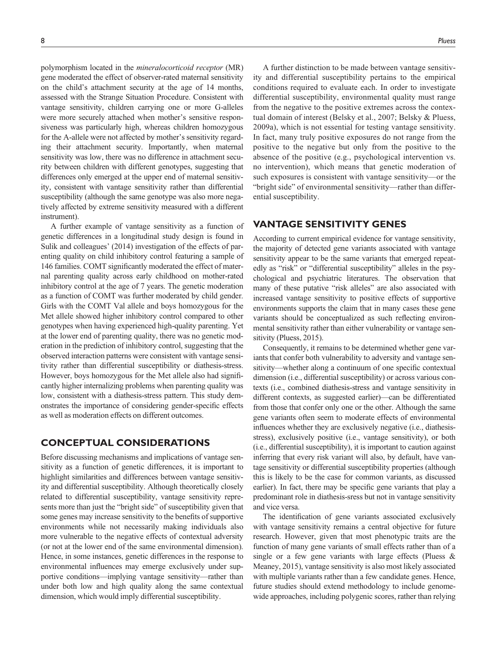polymorphism located in the *mineralocorticoid receptor* (MR) gene moderated the effect of observer-rated maternal sensitivity on the child's attachment security at the age of 14 months, assessed with the Strange Situation Procedure. Consistent with vantage sensitivity, children carrying one or more G-alleles were more securely attached when mother's sensitive responsiveness was particularly high, whereas children homozygous for the A-allele were not affected by mother's sensitivity regarding their attachment security. Importantly, when maternal sensitivity was low, there was no difference in attachment security between children with different genotypes, suggesting that differences only emerged at the upper end of maternal sensitivity, consistent with vantage sensitivity rather than differential susceptibility (although the same genotype was also more negatively affected by extreme sensitivity measured with a different instrument).

A further example of vantage sensitivity as a function of genetic differences in a longitudinal study design is found in Sulik and colleagues' (2014) investigation of the effects of parenting quality on child inhibitory control featuring a sample of 146 families. COMT significantly moderated the effect of maternal parenting quality across early childhood on mother-rated inhibitory control at the age of 7 years. The genetic moderation as a function of COMT was further moderated by child gender. Girls with the COMT Val allele and boys homozygous for the Met allele showed higher inhibitory control compared to other genotypes when having experienced high-quality parenting. Yet at the lower end of parenting quality, there was no genetic moderation in the prediction of inhibitory control, suggesting that the observed interaction patterns were consistent with vantage sensitivity rather than differential susceptibility or diathesis-stress. However, boys homozygous for the Met allele also had significantly higher internalizing problems when parenting quality was low, consistent with a diathesis-stress pattern. This study demonstrates the importance of considering gender-specific effects as well as moderation effects on different outcomes.

### **CONCEPTUAL CONSIDERATIONS**

Before discussing mechanisms and implications of vantage sensitivity as a function of genetic differences, it is important to highlight similarities and differences between vantage sensitivity and differential susceptibility. Although theoretically closely related to differential susceptibility, vantage sensitivity represents more than just the "bright side" of susceptibility given that some genes may increase sensitivity to the benefits of supportive environments while not necessarily making individuals also more vulnerable to the negative effects of contextual adversity (or not at the lower end of the same environmental dimension). Hence, in some instances, genetic differences in the response to environmental influences may emerge exclusively under supportive conditions—implying vantage sensitivity—rather than under both low and high quality along the same contextual dimension, which would imply differential susceptibility.

A further distinction to be made between vantage sensitivity and differential susceptibility pertains to the empirical conditions required to evaluate each. In order to investigate differential susceptibility, environmental quality must range from the negative to the positive extremes across the contextual domain of interest (Belsky et al., 2007; Belsky & Pluess, 2009a), which is not essential for testing vantage sensitivity. In fact, many truly positive exposures do not range from the positive to the negative but only from the positive to the absence of the positive (e.g., psychological intervention vs. no intervention), which means that genetic moderation of such exposures is consistent with vantage sensitivity—or the "bright side" of environmental sensitivity—rather than differential susceptibility.

#### **VANTAGE SENSITIVITY GENES**

According to current empirical evidence for vantage sensitivity, the majority of detected gene variants associated with vantage sensitivity appear to be the same variants that emerged repeatedly as "risk" or "differential susceptibility" alleles in the psychological and psychiatric literatures. The observation that many of these putative "risk alleles" are also associated with increased vantage sensitivity to positive effects of supportive environments supports the claim that in many cases these gene variants should be conceptualized as such reflecting environmental sensitivity rather than either vulnerability or vantage sensitivity (Pluess, 2015).

Consequently, it remains to be determined whether gene variants that confer both vulnerability to adversity and vantage sensitivity—whether along a continuum of one specific contextual dimension (i.e., differential susceptibility) or across various contexts (i.e., combined diathesis-stress and vantage sensitivity in different contexts, as suggested earlier)—can be differentiated from those that confer only one or the other. Although the same gene variants often seem to moderate effects of environmental influences whether they are exclusively negative (i.e., diathesisstress), exclusively positive (i.e., vantage sensitivity), or both (i.e., differential susceptibility), it is important to caution against inferring that every risk variant will also, by default, have vantage sensitivity or differential susceptibility properties (although this is likely to be the case for common variants, as discussed earlier). In fact, there may be specific gene variants that play a predominant role in diathesis-sress but not in vantage sensitivity and vice versa.

The identification of gene variants associated exclusively with vantage sensitivity remains a central objective for future research. However, given that most phenotypic traits are the function of many gene variants of small effects rather than of a single or a few gene variants with large effects (Pluess  $\&$ Meaney, 2015), vantage sensitivity is also most likely associated with multiple variants rather than a few candidate genes. Hence, future studies should extend methodology to include genomewide approaches, including polygenic scores, rather than relying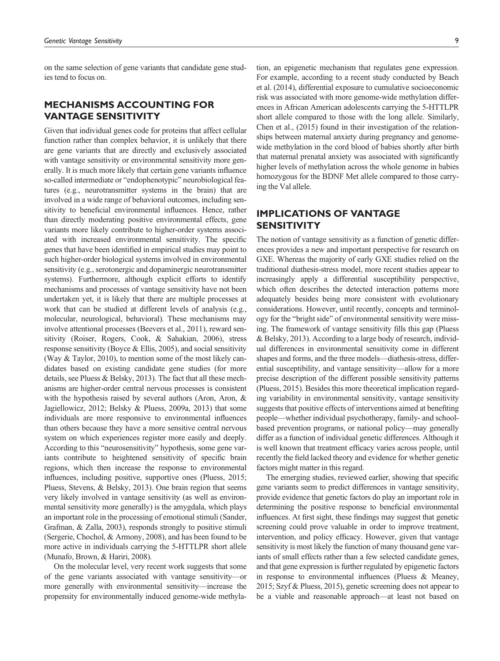on the same selection of gene variants that candidate gene studies tend to focus on.

# **MECHANISMS ACCOUNTING FOR VANTAGE SENSITIVITY**

Given that individual genes code for proteins that affect cellular function rather than complex behavior, it is unlikely that there are gene variants that are directly and exclusively associated with vantage sensitivity or environmental sensitivity more generally. It is much more likely that certain gene variants influence so-called intermediate or "endophenotypic" neurobiological features (e.g., neurotransmitter systems in the brain) that are involved in a wide range of behavioral outcomes, including sensitivity to beneficial environmental influences. Hence, rather than directly moderating positive environmental effects, gene variants more likely contribute to higher-order systems associated with increased environmental sensitivity. The specific genes that have been identified in empirical studies may point to such higher-order biological systems involved in environmental sensitivity (e.g., serotonergic and dopaminergic neurotransmitter systems). Furthermore, although explicit efforts to identify mechanisms and processes of vantage sensitivity have not been undertaken yet, it is likely that there are multiple processes at work that can be studied at different levels of analysis (e.g., molecular, neurological, behavioral). These mechanisms may involve attentional processes (Beevers et al., 2011), reward sensitivity (Roiser, Rogers, Cook, & Sahakian, 2006), stress response sensitivity (Boyce & Ellis, 2005), and social sensitivity (Way & Taylor, 2010), to mention some of the most likely candidates based on existing candidate gene studies (for more details, see Pluess & Belsky, 2013). The fact that all these mechanisms are higher-order central nervous processes is consistent with the hypothesis raised by several authors (Aron, Aron, & Jagiellowicz, 2012; Belsky & Pluess, 2009a, 2013) that some individuals are more responsive to environmental influences than others because they have a more sensitive central nervous system on which experiences register more easily and deeply. According to this "neurosensitivity" hypothesis, some gene variants contribute to heightened sensitivity of specific brain regions, which then increase the response to environmental influences, including positive, supportive ones (Pluess, 2015; Pluess, Stevens, & Belsky, 2013). One brain region that seems very likely involved in vantage sensitivity (as well as environmental sensitivity more generally) is the amygdala, which plays an important role in the processing of emotional stimuli (Sander, Grafman, & Zalla, 2003), responds strongly to positive stimuli (Sergerie, Chochol, & Armony, 2008), and has been found to be more active in individuals carrying the 5-HTTLPR short allele (Munafo, Brown, & Hariri, 2008).

On the molecular level, very recent work suggests that some of the gene variants associated with vantage sensitivity—or more generally with environmental sensitivity—increase the propensity for environmentally induced genome-wide methylation, an epigenetic mechanism that regulates gene expression. For example, according to a recent study conducted by Beach et al. (2014), differential exposure to cumulative socioeconomic risk was associated with more genome-wide methylation differences in African American adolescents carrying the 5-HTTLPR short allele compared to those with the long allele. Similarly, Chen et al., (2015) found in their investigation of the relationships between maternal anxiety during pregnancy and genomewide methylation in the cord blood of babies shortly after birth that maternal prenatal anxiety was associated with significantly higher levels of methylation across the whole genome in babies homozygous for the BDNF Met allele compared to those carrying the Val allele.

# **IMPLICATIONS OF VANTAGE SENSITIVITY**

The notion of vantage sensitivity as a function of genetic differences provides a new and important perspective for research on GXE. Whereas the majority of early GXE studies relied on the traditional diathesis-stress model, more recent studies appear to increasingly apply a differential susceptibility perspective, which often describes the detected interaction patterns more adequately besides being more consistent with evolutionary considerations. However, until recently, concepts and terminology for the "bright side" of environmental sensitivity were missing. The framework of vantage sensitivity fills this gap (Pluess & Belsky, 2013). According to a large body of research, individual differences in environmental sensitivity come in different shapes and forms, and the three models—diathesis-stress, differential susceptibility, and vantage sensitivity—allow for a more precise description of the different possible sensitivity patterns (Pluess, 2015). Besides this more theoretical implication regarding variability in environmental sensitivity, vantage sensitivity suggests that positive effects of interventions aimed at benefiting people—whether individual psychotherapy, family- and schoolbased prevention programs, or national policy—may generally differ as a function of individual genetic differences. Although it is well known that treatment efficacy varies across people, until recently the field lacked theory and evidence for whether genetic factors might matter in this regard.

The emerging studies, reviewed earlier, showing that specific gene variants seem to predict differences in vantage sensitivity, provide evidence that genetic factors do play an important role in determining the positive response to beneficial environmental influences. At first sight, these findings may suggest that genetic screening could prove valuable in order to improve treatment, intervention, and policy efficacy. However, given that vantage sensitivity is most likely the function of many thousand gene variants of small effects rather than a few selected candidate genes, and that gene expression is further regulated by epigenetic factors in response to environmental influences (Pluess & Meaney, 2015; Szyf & Pluess, 2015), genetic screening does not appear to be a viable and reasonable approach—at least not based on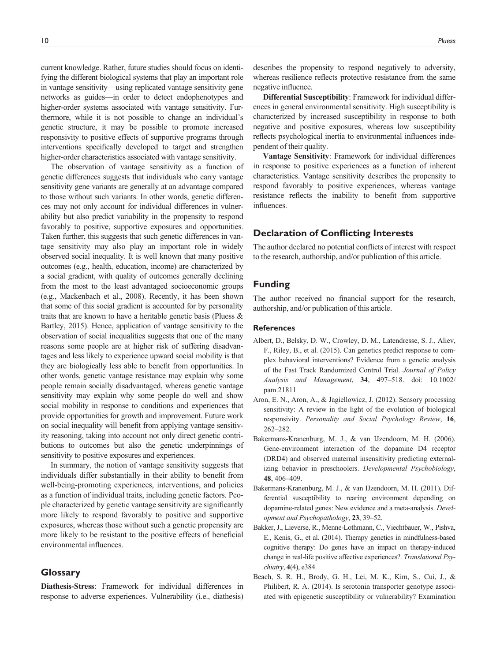current knowledge. Rather, future studies should focus on identifying the different biological systems that play an important role in vantage sensitivity—using replicated vantage sensitivity gene networks as guides—in order to detect endophenotypes and higher-order systems associated with vantage sensitivity. Furthermore, while it is not possible to change an individual's genetic structure, it may be possible to promote increased responsivity to positive effects of supportive programs through interventions specifically developed to target and strengthen higher-order characteristics associated with vantage sensitivity.

The observation of vantage sensitivity as a function of genetic differences suggests that individuals who carry vantage sensitivity gene variants are generally at an advantage compared to those without such variants. In other words, genetic differences may not only account for individual differences in vulnerability but also predict variability in the propensity to respond favorably to positive, supportive exposures and opportunities. Taken further, this suggests that such genetic differences in vantage sensitivity may also play an important role in widely observed social inequality. It is well known that many positive outcomes (e.g., health, education, income) are characterized by a social gradient, with quality of outcomes generally declining from the most to the least advantaged socioeconomic groups (e.g., Mackenbach et al., 2008). Recently, it has been shown that some of this social gradient is accounted for by personality traits that are known to have a heritable genetic basis (Pluess & Bartley, 2015). Hence, application of vantage sensitivity to the observation of social inequalities suggests that one of the many reasons some people are at higher risk of suffering disadvantages and less likely to experience upward social mobility is that they are biologically less able to benefit from opportunities. In other words, genetic vantage resistance may explain why some people remain socially disadvantaged, whereas genetic vantage sensitivity may explain why some people do well and show social mobility in response to conditions and experiences that provide opportunities for growth and improvement. Future work on social inequality will benefit from applying vantage sensitivity reasoning, taking into account not only direct genetic contributions to outcomes but also the genetic underpinnings of sensitivity to positive exposures and experiences.

In summary, the notion of vantage sensitivity suggests that individuals differ substantially in their ability to benefit from well-being-promoting experiences, interventions, and policies as a function of individual traits, including genetic factors. People characterized by genetic vantage sensitivity are significantly more likely to respond favorably to positive and supportive exposures, whereas those without such a genetic propensity are more likely to be resistant to the positive effects of beneficial environmental influences.

#### **Glossary**

Diathesis-Stress: Framework for individual differences in response to adverse experiences. Vulnerability (i.e., diathesis)

describes the propensity to respond negatively to adversity, whereas resilience reflects protective resistance from the same negative influence.

Differential Susceptibility: Framework for individual differences in general environmental sensitivity. High susceptibility is characterized by increased susceptibility in response to both negative and positive exposures, whereas low susceptibility reflects psychological inertia to environmental influences independent of their quality.

Vantage Sensitivity: Framework for individual differences in response to positive experiences as a function of inherent characteristics. Vantage sensitivity describes the propensity to respond favorably to positive experiences, whereas vantage resistance reflects the inability to benefit from supportive influences.

#### **Declaration of Conflicting Interests**

The author declared no potential conflicts of interest with respect to the research, authorship, and/or publication of this article.

## **Funding**

The author received no financial support for the research, authorship, and/or publication of this article.

#### **References**

- Albert, D., Belsky, D. W., Crowley, D. M., Latendresse, S. J., Aliev, F., Riley, B., et al. (2015). Can genetics predict response to complex behavioral interventions? Evidence from a genetic analysis of the Fast Track Randomized Control Trial. Journal of Policy Analysis and Management, 34, 497–518. doi: [10.1002/](info:doi/10.1002/pam.21811) [pam.21811](info:doi/10.1002/pam.21811)
- Aron, E. N., Aron, A., & Jagiellowicz, J. (2012). Sensory processing sensitivity: A review in the light of the evolution of biological responsivity. Personality and Social Psychology Review, 16, 262–282.
- Bakermans-Kranenburg, M. J., & van IJzendoorn, M. H. (2006). Gene-environment interaction of the dopamine D4 receptor (DRD4) and observed maternal insensitivity predicting externalizing behavior in preschoolers. Developmental Psychobiology, 48, 406–409.
- Bakermans-Kranenburg, M. J., & van IJzendoorn, M. H. (2011). Differential susceptibility to rearing environment depending on dopamine-related genes: New evidence and a meta-analysis. Development and Psychopathology, 23, 39–52.
- Bakker, J., Lieverse, R., Menne-Lothmann, C., Viechtbauer, W., Pishva, E., Kenis, G., et al. (2014). Therapy genetics in mindfulness-based cognitive therapy: Do genes have an impact on therapy-induced change in real-life positive affective experiences?. Translational Psychiatry, 4(4), e384.
- Beach, S. R. H., Brody, G. H., Lei, M. K., Kim, S., Cui, J., & Philibert, R. A. (2014). Is serotonin transporter genotype associated with epigenetic susceptibility or vulnerability? Examination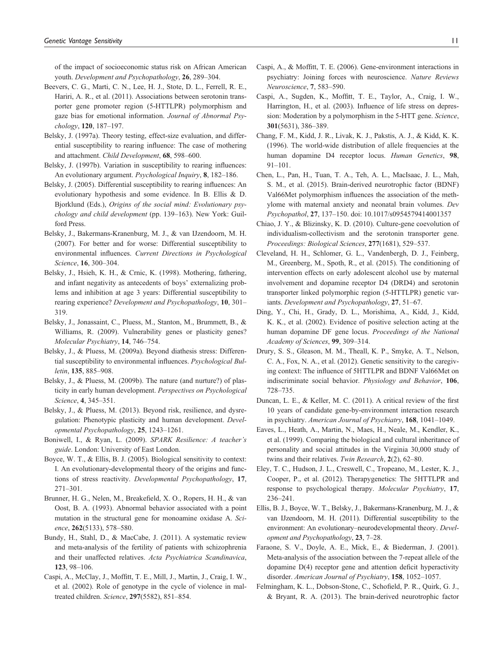of the impact of socioeconomic status risk on African American youth. Development and Psychopathology, 26, 289–304.

- Beevers, C. G., Marti, C. N., Lee, H. J., Stote, D. L., Ferrell, R. E., Hariri, A. R., et al. (2011). Associations between serotonin transporter gene promoter region (5-HTTLPR) polymorphism and gaze bias for emotional information. Journal of Abnormal Psychology, 120, 187–197.
- Belsky, J. (1997a). Theory testing, effect-size evaluation, and differential susceptibility to rearing influence: The case of mothering and attachment. Child Development, 68, 598–600.
- Belsky, J. (1997b). Variation in susceptibility to rearing influences: An evolutionary argument. Psychological Inquiry, 8, 182-186.
- Belsky, J. (2005). Differential susceptibility to rearing influences: An evolutionary hypothesis and some evidence. In B. Ellis & D. Bjorklund (Eds.), Origins of the social mind: Evolutionary psychology and child development (pp. 139–163). New York: Guilford Press.
- Belsky, J., Bakermans-Kranenburg, M. J., & van IJzendoorn, M. H. (2007). For better and for worse: Differential susceptibility to environmental influences. Current Directions in Psychological Science, 16, 300–304.
- Belsky, J., Hsieh, K. H., & Crnic, K. (1998). Mothering, fathering, and infant negativity as antecedents of boys' externalizing problems and inhibition at age 3 years: Differential susceptibility to rearing experience? Development and Psychopathology, 10, 301-319.
- Belsky, J., Jonassaint, C., Pluess, M., Stanton, M., Brummett, B., & Williams, R. (2009). Vulnerability genes or plasticity genes? Molecular Psychiatry, 14, 746–754.
- Belsky, J., & Pluess, M. (2009a). Beyond diathesis stress: Differential susceptibility to environmental influences. Psychological Bulletin, 135, 885–908.
- Belsky, J., & Pluess, M. (2009b). The nature (and nurture?) of plasticity in early human development. Perspectives on Psychological Science, **4**, 345–351.
- Belsky, J., & Pluess, M. (2013). Beyond risk, resilience, and dysregulation: Phenotypic plasticity and human development. Developmental Psychopathology, 25, 1243–1261.
- Boniwell, I., & Ryan, L. (2009). SPARK Resilience: A teacher's guide. London: University of East London.
- Boyce, W. T., & Ellis, B. J. (2005). Biological sensitivity to context: I. An evolutionary-developmental theory of the origins and functions of stress reactivity. Developmental Psychopathology, 17, 271–301.
- Brunner, H. G., Nelen, M., Breakefield, X. O., Ropers, H. H., & van Oost, B. A. (1993). Abnormal behavior associated with a point mutation in the structural gene for monoamine oxidase A. Science, 262(5133), 578–580.
- Bundy, H., Stahl, D., & MacCabe, J. (2011). A systematic review and meta-analysis of the fertility of patients with schizophrenia and their unaffected relatives. Acta Psychiatrica Scandinavica, 123, 98–106.
- Caspi, A., McClay, J., Moffitt, T. E., Mill, J., Martin, J., Craig, I. W., et al. (2002). Role of genotype in the cycle of violence in maltreated children. Science, 297(5582), 851–854.
- Caspi, A., & Moffitt, T. E. (2006). Gene-environment interactions in psychiatry: Joining forces with neuroscience. Nature Reviews Neuroscience, 7, 583–590.
- Caspi, A., Sugden, K., Moffitt, T. E., Taylor, A., Craig, I. W., Harrington, H., et al. (2003). Influence of life stress on depression: Moderation by a polymorphism in the 5-HTT gene. Science, 301(5631), 386–389.
- Chang, F. M., Kidd, J. R., Livak, K. J., Pakstis, A. J., & Kidd, K. K. (1996). The world-wide distribution of allele frequencies at the human dopamine D4 receptor locus. Human Genetics, 98, 91–101.
- Chen, L., Pan, H., Tuan, T. A., Teh, A. L., MacIsaac, J. L., Mah, S. M., et al. (2015). Brain-derived neurotrophic factor (BDNF) Val66Met polymorphism influences the association of the methylome with maternal anxiety and neonatal brain volumes. Dev Psychopathol, 27, 137–150. doi: [10.1017/s0954579414001357](info:doi/10.1017/s0954579414001357)
- Chiao, J. Y., & Blizinsky, K. D. (2010). Culture-gene coevolution of individualism-collectivism and the serotonin transporter gene. Proceedings: Biological Sciences, 277(1681), 529–537.
- Cleveland, H. H., Schlomer, G. L., Vandenbergh, D. J., Feinberg, M., Greenberg, M., Spoth, R., et al. (2015). The conditioning of intervention effects on early adolescent alcohol use by maternal involvement and dopamine receptor D4 (DRD4) and serotonin transporter linked polymorphic region (5-HTTLPR) genetic variants. Development and Psychopathology, 27, 51–67.
- Ding, Y., Chi, H., Grady, D. L., Morishima, A., Kidd, J., Kidd, K. K., et al. (2002). Evidence of positive selection acting at the human dopamine DF gene locus. Proceedings of the National Academy of Sciences, 99, 309–314.
- Drury, S. S., Gleason, M. M., Theall, K. P., Smyke, A. T., Nelson, C. A., Fox, N. A., et al. (2012). Genetic sensitivity to the caregiving context: The influence of 5HTTLPR and BDNF Val66Met on indiscriminate social behavior. Physiology and Behavior, 106, 728–735.
- Duncan, L. E., & Keller, M. C. (2011). A critical review of the first 10 years of candidate gene-by-environment interaction research in psychiatry. American Journal of Psychiatry, 168, 1041–1049.
- Eaves, L., Heath, A., Martin, N., Maes, H., Neale, M., Kendler, K., et al. (1999). Comparing the biological and cultural inheritance of personality and social attitudes in the Virginia 30,000 study of twins and their relatives. Twin Research, 2(2), 62–80.
- Eley, T. C., Hudson, J. L., Creswell, C., Tropeano, M., Lester, K. J., Cooper, P., et al. (2012). Therapygenetics: The 5HTTLPR and response to psychological therapy. Molecular Psychiatry, 17, 236–241.
- Ellis, B. J., Boyce, W. T., Belsky, J., Bakermans-Kranenburg, M. J., & van IJzendoorn, M. H. (2011). Differential susceptibility to the environment: An evolutionary–neurodevelopmental theory. Development and Psychopathology, 23, 7–28.
- Faraone, S. V., Doyle, A. E., Mick, E., & Biederman, J. (2001). Meta-analysis of the association between the 7-repeat allele of the dopamine D(4) receptor gene and attention deficit hyperactivity disorder. American Journal of Psychiatry, 158, 1052-1057.
- Felmingham, K. L., Dobson-Stone, C., Schofield, P. R., Quirk, G. J., & Bryant, R. A. (2013). The brain-derived neurotrophic factor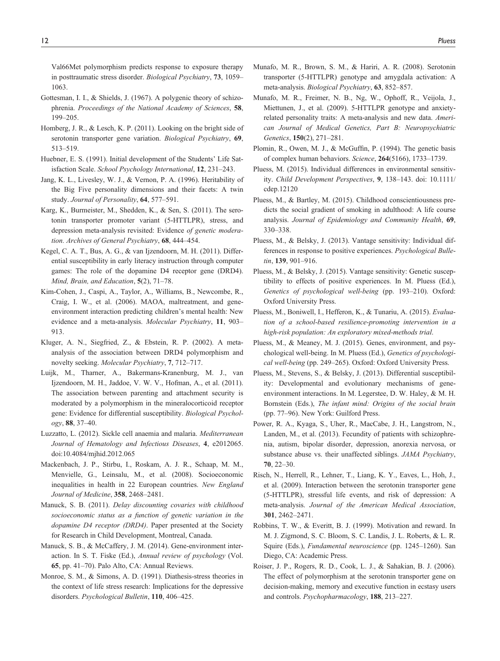Val66Met polymorphism predicts response to exposure therapy in posttraumatic stress disorder. Biological Psychiatry, 73, 1059– 1063.

- Gottesman, I. I., & Shields, J. (1967). A polygenic theory of schizophrenia. Proceedings of the National Academy of Sciences, 58, 199–205.
- Homberg, J. R., & Lesch, K. P. (2011). Looking on the bright side of serotonin transporter gene variation. Biological Psychiatry, 69, 513–519.
- Huebner, E. S. (1991). Initial development of the Students' Life Satisfaction Scale. School Psychology International, 12, 231–243.
- Jang, K. L., Livesley, W. J., & Vernon, P. A. (1996). Heritability of the Big Five personality dimensions and their facets: A twin study. Journal of Personality, 64, 577–591.
- Karg, K., Burmeister, M., Shedden, K., & Sen, S. (2011). The serotonin transporter promoter variant (5-HTTLPR), stress, and depression meta-analysis revisited: Evidence of genetic moderation. Archives of General Psychiatry, 68, 444–454.
- Kegel, C. A. T., Bus, A. G., & van Ijzendoorn, M. H. (2011). Differential susceptibility in early literacy instruction through computer games: The role of the dopamine D4 receptor gene (DRD4). Mind, Brain, and Education, 5(2), 71–78.
- Kim-Cohen, J., Caspi, A., Taylor, A., Williams, B., Newcombe, R., Craig, I. W., et al. (2006). MAOA, maltreatment, and geneenvironment interaction predicting children's mental health: New evidence and a meta-analysis. Molecular Psychiatry, 11, 903– 913.
- Kluger, A. N., Siegfried, Z., & Ebstein, R. P. (2002). A metaanalysis of the association between DRD4 polymorphism and novelty seeking. Molecular Psychiatry, 7, 712–717.
- Luijk, M., Tharner, A., Bakermans-Kranenburg, M. J., van Ijzendoorn, M. H., Jaddoe, V. W. V., Hofman, A., et al. (2011). The association between parenting and attachment security is moderated by a polymorphism in the mineralocorticoid receptor gene: Evidence for differential susceptibility. Biological Psychology, 88, 37–40.
- Luzzatto, L. (2012). Sickle cell anaemia and malaria. Mediterranean Journal of Hematology and Infectious Diseases, 4, e2012065. doi:[10.4084/mjhid.2012.065](info:doi/10.4084/mjhid.2012.065)
- Mackenbach, J. P., Stirbu, I., Roskam, A. J. R., Schaap, M. M., Menvielle, G., Leinsalu, M., et al. (2008). Socioeconomic inequalities in health in 22 European countries. New England Journal of Medicine, 358, 2468–2481.
- Manuck, S. B. (2011). Delay discounting covaries with childhood socioeconomic status as a function of genetic variation in the dopamine D4 receptor (DRD4). Paper presented at the Society for Research in Child Development, Montreal, Canada.
- Manuck, S. B., & McCaffery, J. M. (2014). Gene-environment interaction. In S. T. Fiske (Ed.), Annual review of psychology (Vol. 65, pp. 41–70). Palo Alto, CA: Annual Reviews.
- Monroe, S. M., & Simons, A. D. (1991). Diathesis-stress theories in the context of life stress research: Implications for the depressive disorders. Psychological Bulletin, 110, 406–425.
- Munafo, M. R., Brown, S. M., & Hariri, A. R. (2008). Serotonin transporter (5-HTTLPR) genotype and amygdala activation: A meta-analysis. Biological Psychiatry, 63, 852–857.
- Munafo, M. R., Freimer, N. B., Ng, W., Ophoff, R., Veijola, J., Miettunen, J., et al. (2009). 5-HTTLPR genotype and anxietyrelated personality traits: A meta-analysis and new data. American Journal of Medical Genetics, Part B: Neuropsychiatric Genetics, 150(2), 271–281.
- Plomin, R., Owen, M. J., & McGuffin, P. (1994). The genetic basis of complex human behaviors. Science, 264(5166), 1733–1739.
- Pluess, M. (2015). Individual differences in environmental sensitivity. Child Development Perspectives, 9, 138–143. doi: [10.1111/](info:doi/10.1111/cdep.12120) [cdep.12120](info:doi/10.1111/cdep.12120)
- Pluess, M., & Bartley, M. (2015). Childhood conscientiousness predicts the social gradient of smoking in adulthood: A life course analysis. Journal of Epidemiology and Community Health, 69, 330–338.
- Pluess, M., & Belsky, J. (2013). Vantage sensitivity: Individual differences in response to positive experiences. Psychological Bulletin, 139, 901–916.
- Pluess, M., & Belsky, J. (2015). Vantage sensitivity: Genetic susceptibility to effects of positive experiences. In M. Pluess (Ed.), Genetics of psychological well-being (pp. 193–210). Oxford: Oxford University Press.
- Pluess, M., Boniwell, I., Hefferon, K., & Tunariu, A. (2015). Evaluation of a school-based resilience-promoting intervention in a high-risk population: An exploratory mixed-methods trial.
- Pluess, M., & Meaney, M. J. (2015). Genes, environment, and psychological well-being. In M. Pluess (Ed.), Genetics of psychological well-being (pp. 249–265). Oxford: Oxford University Press.
- Pluess, M., Stevens, S., & Belsky, J. (2013). Differential susceptibility: Developmental and evolutionary mechanisms of geneenvironment interactions. In M. Legerstee, D. W. Haley, & M. H. Bornstein (Eds.), The infant mind: Origins of the social brain (pp. 77–96). New York: Guilford Press.
- Power, R. A., Kyaga, S., Uher, R., MacCabe, J. H., Langstrom, N., Landen, M., et al. (2013). Fecundity of patients with schizophrenia, autism, bipolar disorder, depression, anorexia nervosa, or substance abuse vs. their unaffected siblings. JAMA Psychiatry, 70, 22–30.
- Risch, N., Herrell, R., Lehner, T., Liang, K. Y., Eaves, L., Hoh, J., et al. (2009). Interaction between the serotonin transporter gene (5-HTTLPR), stressful life events, and risk of depression: A meta-analysis. Journal of the American Medical Association, 301, 2462–2471.
- Robbins, T. W., & Everitt, B. J. (1999). Motivation and reward. In M. J. Zigmond, S. C. Bloom, S. C. Landis, J. L. Roberts, & L. R. Squire (Eds.), Fundamental neuroscience (pp. 1245–1260). San Diego, CA: Academic Press.
- Roiser, J. P., Rogers, R. D., Cook, L. J., & Sahakian, B. J. (2006). The effect of polymorphism at the serotonin transporter gene on decision-making, memory and executive function in ecstasy users and controls. Psychopharmacology, 188, 213–227.